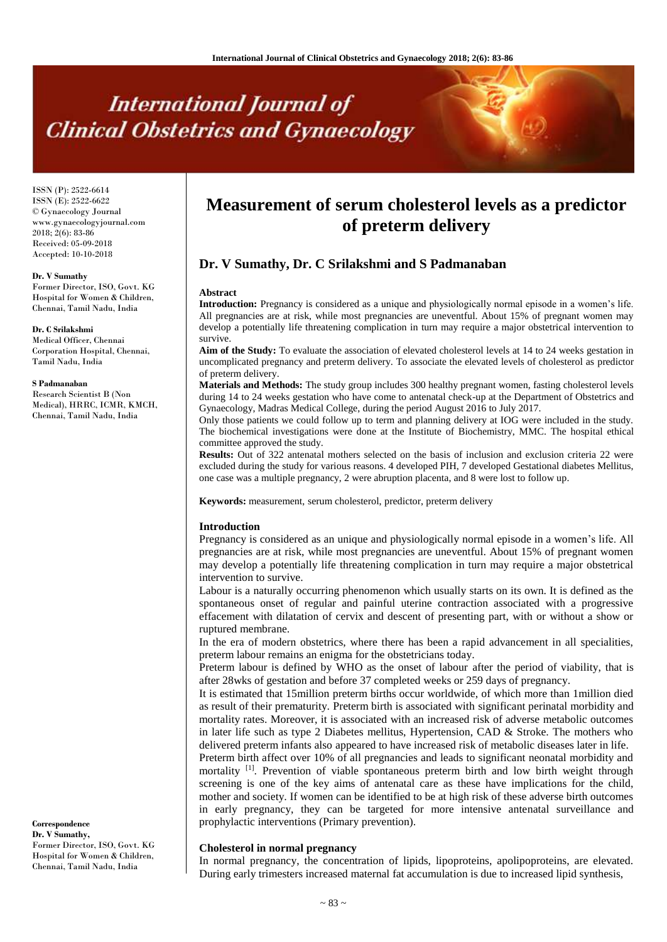# **International Journal of Clinical Obstetrics and Gynaecology**

ISSN (P): 2522-6614 ISSN (E): 2522-6622 © Gynaecology Journal www.gynaecologyjournal.com 2018; 2(6): 83-86 Received: 05-09-2018 Accepted: 10-10-2018

#### **Dr. V Sumathy**

Former Director, ISO, Govt. KG Hospital for Women & Children, Chennai, Tamil Nadu, India

#### **Dr. C Srilakshmi**

Medical Officer, Chennai Corporation Hospital, Chennai, Tamil Nadu, India

#### **S Padmanaban**

Research Scientist B (Non Medical), HRRC, ICMR, KMCH, Chennai, Tamil Nadu, India

## **Correspondence**

**Dr. V Sumathy,**  Former Director, ISO, Govt. KG Hospital for Women & Children, Chennai, Tamil Nadu, India

# **Measurement of serum cholesterol levels as a predictor of preterm delivery**

# **Dr. V Sumathy, Dr. C Srilakshmi and S Padmanaban**

#### **Abstract**

**Introduction:** Pregnancy is considered as a unique and physiologically normal episode in a women's life. All pregnancies are at risk, while most pregnancies are uneventful. About 15% of pregnant women may develop a potentially life threatening complication in turn may require a major obstetrical intervention to survive.

**Aim of the Study:** To evaluate the association of elevated cholesterol levels at 14 to 24 weeks gestation in uncomplicated pregnancy and preterm delivery. To associate the elevated levels of cholesterol as predictor of preterm delivery.

**Materials and Methods:** The study group includes 300 healthy pregnant women, fasting cholesterol levels during 14 to 24 weeks gestation who have come to antenatal check-up at the Department of Obstetrics and Gynaecology, Madras Medical College, during the period August 2016 to July 2017.

Only those patients we could follow up to term and planning delivery at IOG were included in the study. The biochemical investigations were done at the Institute of Biochemistry, MMC. The hospital ethical committee approved the study.

**Results:** Out of 322 antenatal mothers selected on the basis of inclusion and exclusion criteria 22 were excluded during the study for various reasons. 4 developed PIH, 7 developed Gestational diabetes Mellitus, one case was a multiple pregnancy, 2 were abruption placenta, and 8 were lost to follow up.

**Keywords:** measurement, serum cholesterol, predictor, preterm delivery

#### **Introduction**

Pregnancy is considered as an unique and physiologically normal episode in a women's life. All pregnancies are at risk, while most pregnancies are uneventful. About 15% of pregnant women may develop a potentially life threatening complication in turn may require a major obstetrical intervention to survive.

Labour is a naturally occurring phenomenon which usually starts on its own. It is defined as the spontaneous onset of regular and painful uterine contraction associated with a progressive effacement with dilatation of cervix and descent of presenting part, with or without a show or ruptured membrane.

In the era of modern obstetrics, where there has been a rapid advancement in all specialities, preterm labour remains an enigma for the obstetricians today.

Preterm labour is defined by WHO as the onset of labour after the period of viability, that is after 28wks of gestation and before 37 completed weeks or 259 days of pregnancy.

It is estimated that 15million preterm births occur worldwide, of which more than 1million died as result of their prematurity. Preterm birth is associated with significant perinatal morbidity and mortality rates. Moreover, it is associated with an increased risk of adverse metabolic outcomes in later life such as type 2 Diabetes mellitus, Hypertension, CAD & Stroke. The mothers who delivered preterm infants also appeared to have increased risk of metabolic diseases later in life.

Preterm birth affect over 10% of all pregnancies and leads to significant neonatal morbidity and mortality <sup>[1]</sup>. Prevention of viable spontaneous preterm birth and low birth weight through screening is one of the key aims of antenatal care as these have implications for the child, mother and society. If women can be identified to be at high risk of these adverse birth outcomes in early pregnancy, they can be targeted for more intensive antenatal surveillance and prophylactic interventions (Primary prevention).

#### **Cholesterol in normal pregnancy**

In normal pregnancy, the concentration of lipids, lipoproteins, apolipoproteins, are elevated. During early trimesters increased maternal fat accumulation is due to increased lipid synthesis,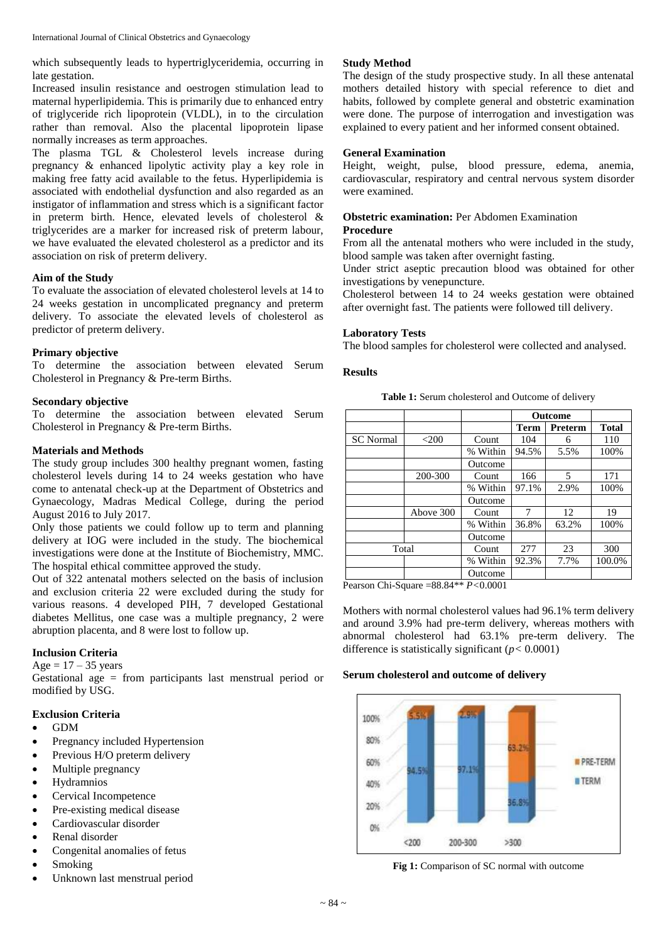which subsequently leads to hypertriglyceridemia, occurring in late gestation.

Increased insulin resistance and oestrogen stimulation lead to maternal hyperlipidemia. This is primarily due to enhanced entry of triglyceride rich lipoprotein (VLDL), in to the circulation rather than removal. Also the placental lipoprotein lipase normally increases as term approaches.

The plasma TGL & Cholesterol levels increase during pregnancy & enhanced lipolytic activity play a key role in making free fatty acid available to the fetus. Hyperlipidemia is associated with endothelial dysfunction and also regarded as an instigator of inflammation and stress which is a significant factor in preterm birth. Hence, elevated levels of cholesterol & triglycerides are a marker for increased risk of preterm labour, we have evaluated the elevated cholesterol as a predictor and its association on risk of preterm delivery.

## **Aim of the Study**

To evaluate the association of elevated cholesterol levels at 14 to 24 weeks gestation in uncomplicated pregnancy and preterm delivery. To associate the elevated levels of cholesterol as predictor of preterm delivery.

#### **Primary objective**

To determine the association between elevated Serum Cholesterol in Pregnancy & Pre-term Births.

#### **Secondary objective**

To determine the association between elevated Serum Cholesterol in Pregnancy & Pre-term Births.

#### **Materials and Methods**

The study group includes 300 healthy pregnant women, fasting cholesterol levels during 14 to 24 weeks gestation who have come to antenatal check-up at the Department of Obstetrics and Gynaecology, Madras Medical College, during the period August 2016 to July 2017.

Only those patients we could follow up to term and planning delivery at IOG were included in the study. The biochemical investigations were done at the Institute of Biochemistry, MMC. The hospital ethical committee approved the study.

Out of 322 antenatal mothers selected on the basis of inclusion and exclusion criteria 22 were excluded during the study for various reasons. 4 developed PIH, 7 developed Gestational diabetes Mellitus, one case was a multiple pregnancy, 2 were abruption placenta, and 8 were lost to follow up.

## **Inclusion Criteria**

 $Age = 17 - 35 \text{ years}$ 

Gestational age = from participants last menstrual period or modified by USG.

## **Exclusion Criteria**

- GDM
- Pregnancy included Hypertension
- Previous H/O preterm delivery
- Multiple pregnancy
- Hydramnios
- Cervical Incompetence
- Pre-existing medical disease
- Cardiovascular disorder
- Renal disorder
- Congenital anomalies of fetus
- Smoking
- Unknown last menstrual period

### **Study Method**

The design of the study prospective study. In all these antenatal mothers detailed history with special reference to diet and habits, followed by complete general and obstetric examination were done. The purpose of interrogation and investigation was explained to every patient and her informed consent obtained.

#### **General Examination**

Height, weight, pulse, blood pressure, edema, anemia, cardiovascular, respiratory and central nervous system disorder were examined.

# **Obstetric examination:** Per Abdomen Examination

# **Procedure**

From all the antenatal mothers who were included in the study, blood sample was taken after overnight fasting.

Under strict aseptic precaution blood was obtained for other investigations by venepuncture.

Cholesterol between 14 to 24 weeks gestation were obtained after overnight fast. The patients were followed till delivery.

#### **Laboratory Tests**

The blood samples for cholesterol were collected and analysed.

#### **Results**

**Table 1:** Serum cholesterol and Outcome of delivery

|                  |           |          | <b>Outcome</b> |         |              |
|------------------|-----------|----------|----------------|---------|--------------|
|                  |           |          | <b>Term</b>    | Preterm | <b>Total</b> |
| <b>SC</b> Normal | $<$ 200   | Count    | 104            | 6       | 110          |
|                  |           | % Within | 94.5%          | 5.5%    | 100%         |
|                  |           | Outcome  |                |         |              |
|                  | 200-300   | Count    | 166            | 5       | 171          |
|                  |           | % Within | 97.1%          | 2.9%    | 100%         |
|                  |           | Outcome  |                |         |              |
|                  | Above 300 | Count    | 7              | 12      | 19           |
|                  |           | % Within | 36.8%          | 63.2%   | 100%         |
|                  |           | Outcome  |                |         |              |
| Total            |           | Count    | 277            | 23      | 300          |
|                  |           | % Within | 92.3%          | 7.7%    | 100.0%       |
| -----            |           | Outcome  |                |         |              |

Pearson Chi-Square =88.84\*\* *P<*0.0001

Mothers with normal cholesterol values had 96.1% term delivery and around 3.9% had pre-term delivery, whereas mothers with abnormal cholesterol had 63.1% pre-term delivery. The difference is statistically significant (*p<* 0.0001)

#### **Serum cholesterol and outcome of delivery**



**Fig 1:** Comparison of SC normal with outcome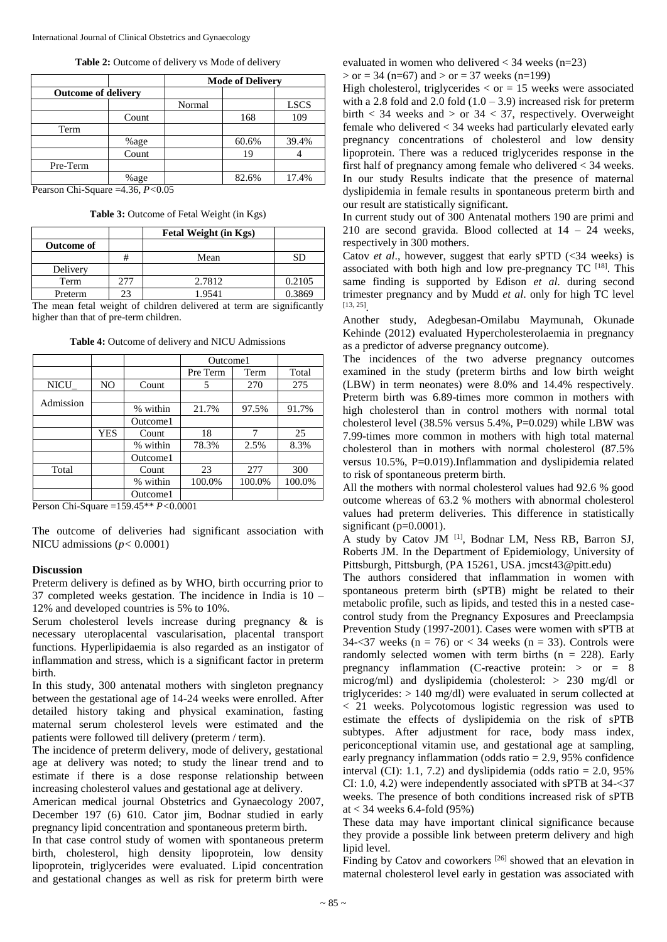|          |                            | <b>Mode of Delivery</b> |       |             |  |
|----------|----------------------------|-------------------------|-------|-------------|--|
|          | <b>Outcome of delivery</b> |                         |       |             |  |
|          |                            | Normal                  |       | <b>LSCS</b> |  |
|          | Count                      |                         | 168   | 109         |  |
| Term     |                            |                         |       |             |  |
|          | %age                       |                         | 60.6% | 39.4%       |  |
|          | Count                      |                         | 19    |             |  |
| Pre-Term |                            |                         |       |             |  |
|          | %age                       |                         | 82.6% | 17.4%       |  |

Pearson Chi-Square =4.36, *P<*0.05

**Table 3:** Outcome of Fetal Weight (in Kgs)

|            |      | Fetal Weight (in Kgs) |        |
|------------|------|-----------------------|--------|
| Outcome of |      |                       |        |
|            | #    | Mean                  | SD     |
| Delivery   |      |                       |        |
| Term       | 2.77 | 2.7812                | 0.2105 |
| Preterm    | 23   | 1.9541                | 0.3869 |

The mean fetal weight of children delivered at term are significantly higher than that of pre-term children.

|           |     |          | Outcome1 |        |        |
|-----------|-----|----------|----------|--------|--------|
|           |     |          | Pre Term | Term   | Total  |
| NICU_     | NO. | Count    | 5        | 270    | 275    |
| Admission |     |          |          |        |        |
|           |     | % within | 21.7%    | 97.5%  | 91.7%  |
|           |     | Outcome1 |          |        |        |
|           | YES | Count    | 18       | 7      | 25     |
|           |     | % within | 78.3%    | 2.5%   | 8.3%   |
|           |     | Outcome1 |          |        |        |
| Total     |     | Count    | 23       | 277    | 300    |
|           |     | % within | 100.0%   | 100.0% | 100.0% |
|           |     | Outcome1 |          |        |        |

Person Chi-Square =159.45\*\* *P<*0.0001

The outcome of deliveries had significant association with NICU admissions  $(p < 0.0001)$ 

#### **Discussion**

Preterm delivery is defined as by WHO, birth occurring prior to 37 completed weeks gestation. The incidence in India is 10 – 12% and developed countries is 5% to 10%.

Serum cholesterol levels increase during pregnancy & is necessary uteroplacental vascularisation, placental transport functions. Hyperlipidaemia is also regarded as an instigator of inflammation and stress, which is a significant factor in preterm birth.

In this study, 300 antenatal mothers with singleton pregnancy between the gestational age of 14-24 weeks were enrolled. After detailed history taking and physical examination, fasting maternal serum cholesterol levels were estimated and the patients were followed till delivery (preterm / term).

The incidence of preterm delivery, mode of delivery, gestational age at delivery was noted; to study the linear trend and to estimate if there is a dose response relationship between increasing cholesterol values and gestational age at delivery.

American medical journal Obstetrics and Gynaecology 2007, December 197 (6) 610. Cator jim, Bodnar studied in early pregnancy lipid concentration and spontaneous preterm birth.

In that case control study of women with spontaneous preterm birth, cholesterol, high density lipoprotein, low density lipoprotein, triglycerides were evaluated. Lipid concentration and gestational changes as well as risk for preterm birth were

evaluated in women who delivered  $<$  34 weeks (n=23)  $>$  or = 34 (n=67) and  $>$  or = 37 weeks (n=199)

High cholesterol, triglycerides  $\langle$  or = 15 weeks were associated with a 2.8 fold and 2.0 fold  $(1.0 - 3.9)$  increased risk for preterm birth  $<$  34 weeks and  $>$  or 34  $<$  37, respectively. Overweight female who delivered < 34 weeks had particularly elevated early pregnancy concentrations of cholesterol and low density lipoprotein. There was a reduced triglycerides response in the first half of pregnancy among female who delivered < 34 weeks. In our study Results indicate that the presence of maternal dyslipidemia in female results in spontaneous preterm birth and our result are statistically significant.

In current study out of 300 Antenatal mothers 190 are primi and 210 are second gravida. Blood collected at  $14 - 24$  weeks, respectively in 300 mothers.

Catov *et al.*, however, suggest that early sPTD (<34 weeks) is associated with both high and low pre-pregnancy  $TC$  [18]. This same finding is supported by Edison *et al*. during second trimester pregnancy and by Mudd *et al*. only for high TC level [13, 25] .

Another study, Adegbesan-Omilabu Maymunah, Okunade Kehinde (2012) evaluated Hypercholesterolaemia in pregnancy as a predictor of adverse pregnancy outcome).

The incidences of the two adverse pregnancy outcomes examined in the study (preterm births and low birth weight (LBW) in term neonates) were 8.0% and 14.4% respectively. Preterm birth was 6.89-times more common in mothers with high cholesterol than in control mothers with normal total cholesterol level (38.5% versus 5.4%, P=0.029) while LBW was 7.99-times more common in mothers with high total maternal cholesterol than in mothers with normal cholesterol (87.5% versus 10.5%, P=0.019).Inflammation and dyslipidemia related to risk of spontaneous preterm birth.

All the mothers with normal cholesterol values had 92.6 % good outcome whereas of 63.2 % mothers with abnormal cholesterol values had preterm deliveries. This difference in statistically significant ( $p=0.0001$ ).

A study by Catov JM <sup>[1]</sup>, Bodnar LM, Ness RB, Barron SJ, Roberts JM. In the Department of Epidemiology, University of Pittsburgh, Pittsburgh, (PA 15261, USA. jmcst43@pitt.edu)

The authors considered that inflammation in women with spontaneous preterm birth (sPTB) might be related to their metabolic profile, such as lipids, and tested this in a nested casecontrol study from the Pregnancy Exposures and Preeclampsia Prevention Study (1997-2001). Cases were women with sPTB at 34- $\lt37$  weeks (n = 76) or  $\lt34$  weeks (n = 33). Controls were randomly selected women with term births  $(n = 228)$ . Early pregnancy inflammation (C-reactive protein:  $>$  or  $=$  8 microg/ml) and dyslipidemia (cholesterol: > 230 mg/dl or triglycerides: > 140 mg/dl) were evaluated in serum collected at < 21 weeks. Polycotomous logistic regression was used to estimate the effects of dyslipidemia on the risk of sPTB subtypes. After adjustment for race, body mass index, periconceptional vitamin use, and gestational age at sampling, early pregnancy inflammation (odds ratio = 2.9, 95% confidence interval (CI): 1.1, 7.2) and dyslipidemia (odds ratio  $= 2.0, 95\%$ CI: 1.0, 4.2) were independently associated with sPTB at 34-<37 weeks. The presence of both conditions increased risk of sPTB at < 34 weeks 6.4-fold (95%)

These data may have important clinical significance because they provide a possible link between preterm delivery and high lipid level.

Finding by Catov and coworkers<sup>[26]</sup> showed that an elevation in maternal cholesterol level early in gestation was associated with